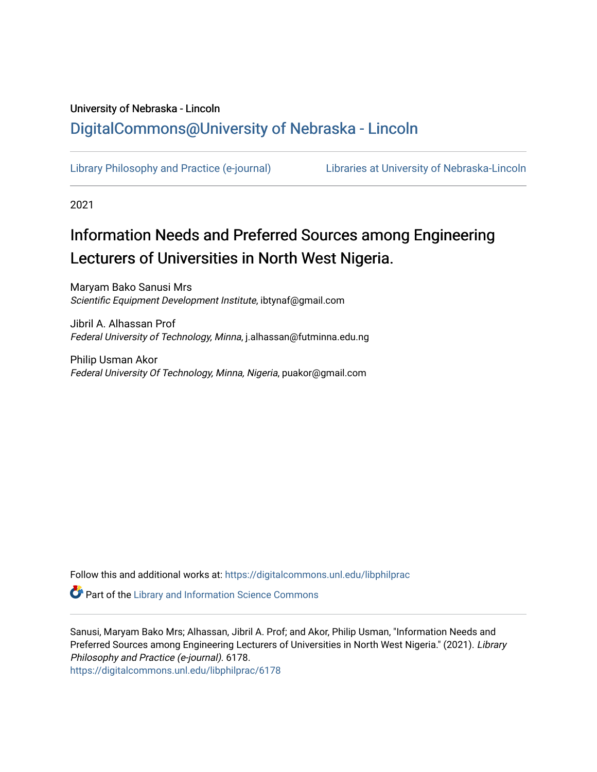# University of Nebraska - Lincoln [DigitalCommons@University of Nebraska - Lincoln](https://digitalcommons.unl.edu/)

[Library Philosophy and Practice \(e-journal\)](https://digitalcommons.unl.edu/libphilprac) [Libraries at University of Nebraska-Lincoln](https://digitalcommons.unl.edu/libraries) 

2021

# Information Needs and Preferred Sources among Engineering Lecturers of Universities in North West Nigeria.

Maryam Bako Sanusi Mrs Scientific Equipment Development Institute, ibtynaf@gmail.com

Jibril A. Alhassan Prof Federal University of Technology, Minna, j.alhassan@futminna.edu.ng

Philip Usman Akor Federal University Of Technology, Minna, Nigeria, puakor@gmail.com

Follow this and additional works at: [https://digitalcommons.unl.edu/libphilprac](https://digitalcommons.unl.edu/libphilprac?utm_source=digitalcommons.unl.edu%2Flibphilprac%2F6178&utm_medium=PDF&utm_campaign=PDFCoverPages) 

**Part of the Library and Information Science Commons** 

Sanusi, Maryam Bako Mrs; Alhassan, Jibril A. Prof; and Akor, Philip Usman, "Information Needs and Preferred Sources among Engineering Lecturers of Universities in North West Nigeria." (2021). Library Philosophy and Practice (e-journal). 6178.

[https://digitalcommons.unl.edu/libphilprac/6178](https://digitalcommons.unl.edu/libphilprac/6178?utm_source=digitalcommons.unl.edu%2Flibphilprac%2F6178&utm_medium=PDF&utm_campaign=PDFCoverPages)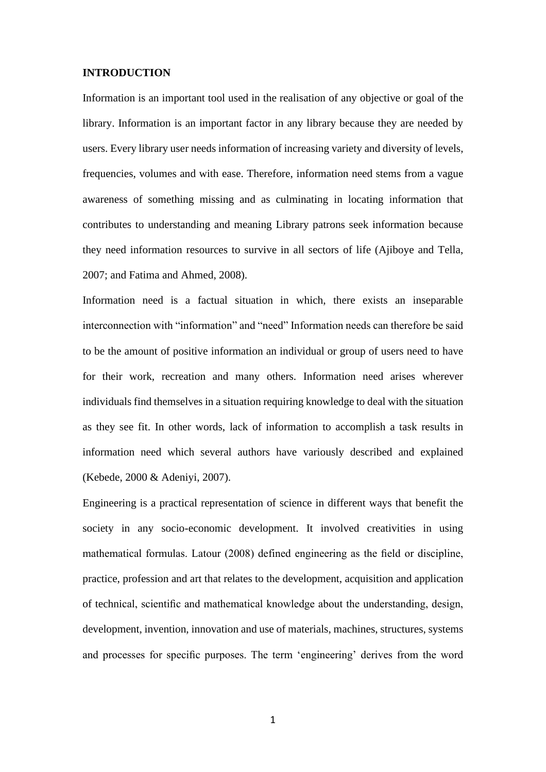#### **INTRODUCTION**

Information is an important tool used in the realisation of any objective or goal of the library. Information is an important factor in any library because they are needed by users. Every library user needs information of increasing variety and diversity of levels, frequencies, volumes and with ease. Therefore, information need stems from a vague awareness of something missing and as culminating in locating information that contributes to understanding and meaning Library patrons seek information because they need information resources to survive in all sectors of life (Ajiboye and Tella, 2007; and Fatima and Ahmed, 2008).

Information need is a factual situation in which, there exists an inseparable interconnection with "information" and "need" Information needs can therefore be said to be the amount of positive information an individual or group of users need to have for their work, recreation and many others. Information need arises wherever individuals find themselves in a situation requiring knowledge to deal with the situation as they see fit. In other words, lack of information to accomplish a task results in information need which several authors have variously described and explained (Kebede, 2000 & Adeniyi, 2007).

Engineering is a practical representation of science in different ways that benefit the society in any socio-economic development. It involved creativities in using mathematical formulas. Latour (2008) defined engineering as the field or discipline, practice, profession and art that relates to the development, acquisition and application of technical, scientific and mathematical knowledge about the understanding, design, development, invention, innovation and use of materials, machines, structures, systems and processes for specific purposes. The term 'engineering' derives from the word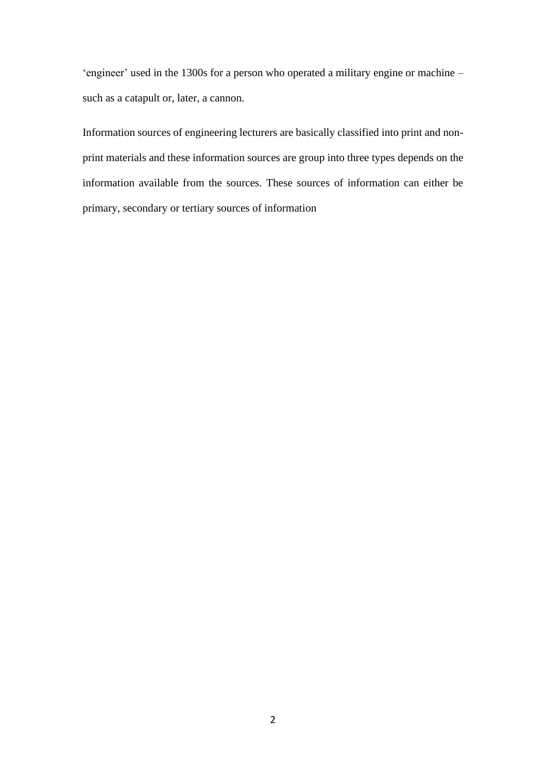'engineer' used in the 1300s for a person who operated a military engine or machine – such as a catapult or, later, a cannon.

Information sources of engineering lecturers are basically classified into print and nonprint materials and these information sources are group into three types depends on the information available from the sources. These sources of information can either be primary, secondary or tertiary sources of information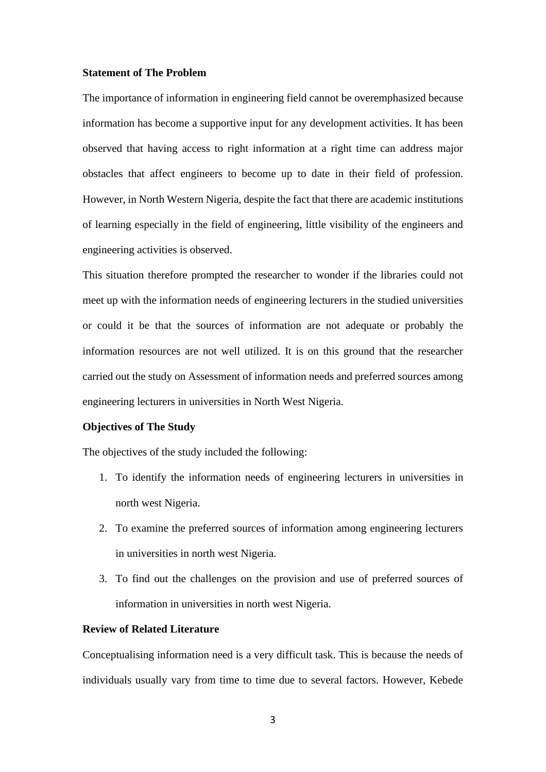#### **Statement of The Problem**

The importance of information in engineering field cannot be overemphasized because information has become a supportive input for any development activities. It has been observed that having access to right information at a right time can address major obstacles that affect engineers to become up to date in their field of profession. However, in North Western Nigeria, despite the fact that there are academic institutions of learning especially in the field of engineering, little visibility of the engineers and engineering activities is observed.

This situation therefore prompted the researcher to wonder if the libraries could not meet up with the information needs of engineering lecturers in the studied universities or could it be that the sources of information are not adequate or probably the information resources are not well utilized. It is on this ground that the researcher carried out the study on Assessment of information needs and preferred sources among engineering lecturers in universities in North West Nigeria.

#### **Objectives of The Study**

The objectives of the study included the following:

- 1. To identify the information needs of engineering lecturers in universities in north west Nigeria.
- 2. To examine the preferred sources of information among engineering lecturers in universities in north west Nigeria.
- 3. To find out the challenges on the provision and use of preferred sources of information in universities in north west Nigeria.

# **Review of Related Literature**

Conceptualising information need is a very difficult task. This is because the needs of individuals usually vary from time to time due to several factors. However, Kebede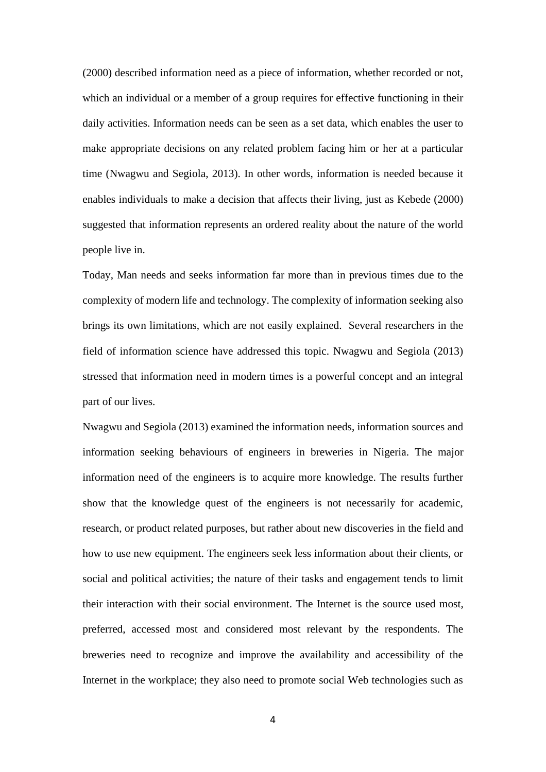(2000) described information need as a piece of information, whether recorded or not, which an individual or a member of a group requires for effective functioning in their daily activities. Information needs can be seen as a set data, which enables the user to make appropriate decisions on any related problem facing him or her at a particular time (Nwagwu and Segiola, 2013). In other words, information is needed because it enables individuals to make a decision that affects their living, just as Kebede (2000) suggested that information represents an ordered reality about the nature of the world people live in.

Today, Man needs and seeks information far more than in previous times due to the complexity of modern life and technology. The complexity of information seeking also brings its own limitations, which are not easily explained. Several researchers in the field of information science have addressed this topic. Nwagwu and Segiola (2013) stressed that information need in modern times is a powerful concept and an integral part of our lives.

Nwagwu and Segiola (2013) examined the information needs, information sources and information seeking behaviours of engineers in breweries in Nigeria. The major information need of the engineers is to acquire more knowledge. The results further show that the knowledge quest of the engineers is not necessarily for academic, research, or product related purposes, but rather about new discoveries in the field and how to use new equipment. The engineers seek less information about their clients, or social and political activities; the nature of their tasks and engagement tends to limit their interaction with their social environment. The Internet is the source used most, preferred, accessed most and considered most relevant by the respondents. The breweries need to recognize and improve the availability and accessibility of the Internet in the workplace; they also need to promote social Web technologies such as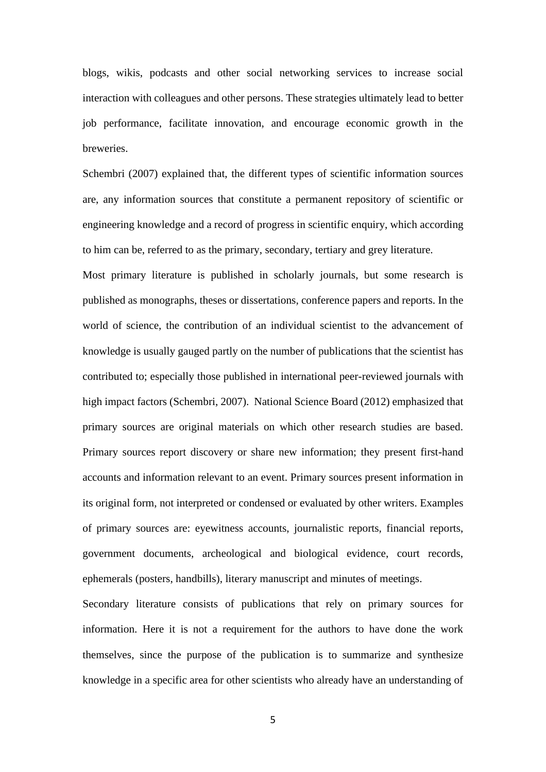blogs, wikis, podcasts and other social networking services to increase social interaction with colleagues and other persons. These strategies ultimately lead to better job performance, facilitate innovation, and encourage economic growth in the breweries.

Schembri (2007) explained that, the different types of scientific information sources are, any information sources that constitute a permanent repository of scientific or engineering knowledge and a record of progress in scientific enquiry, which according to him can be, referred to as the primary, secondary, tertiary and grey literature.

Most primary literature is published in scholarly journals, but some research is published as monographs, theses or dissertations, conference papers and reports. In the world of science, the contribution of an individual scientist to the advancement of knowledge is usually gauged partly on the number of publications that the scientist has contributed to; especially those published in international peer-reviewed journals with high impact factors (Schembri, 2007). National Science Board (2012) emphasized that primary sources are original materials on which other research studies are based. Primary sources report discovery or share new information; they present first-hand accounts and information relevant to an event. Primary sources present information in its original form, not interpreted or condensed or evaluated by other writers. Examples of primary sources are: eyewitness accounts, journalistic reports, financial reports, government documents, archeological and biological evidence, court records, ephemerals (posters, handbills), literary manuscript and minutes of meetings.

Secondary literature consists of publications that rely on primary sources for information. Here it is not a requirement for the authors to have done the work themselves, since the purpose of the publication is to summarize and synthesize knowledge in a specific area for other scientists who already have an understanding of

5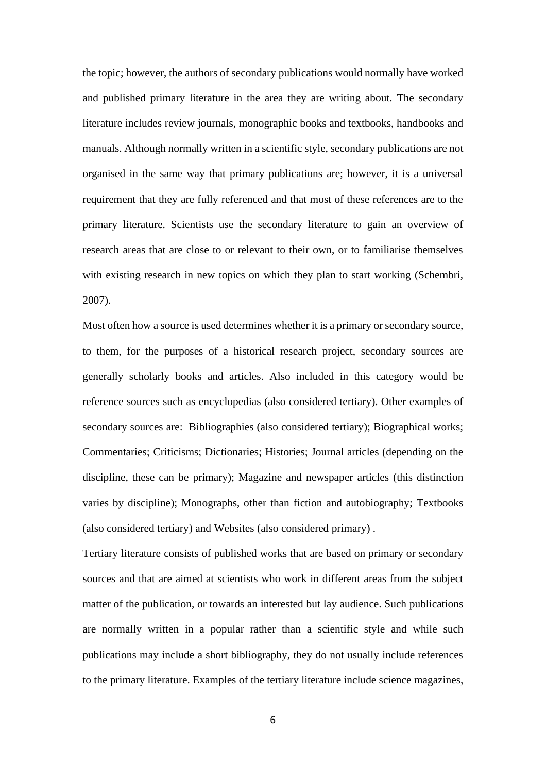the topic; however, the authors of secondary publications would normally have worked and published primary literature in the area they are writing about. The secondary literature includes review journals, monographic books and textbooks, handbooks and manuals. Although normally written in a scientific style, secondary publications are not organised in the same way that primary publications are; however, it is a universal requirement that they are fully referenced and that most of these references are to the primary literature. Scientists use the secondary literature to gain an overview of research areas that are close to or relevant to their own, or to familiarise themselves with existing research in new topics on which they plan to start working (Schembri, 2007).

Most often how a source is used determines whether it is a primary or secondary source, to them, for the purposes of a historical research project, secondary sources are generally scholarly books and articles. Also included in this category would be reference sources such as encyclopedias (also considered tertiary). Other examples of secondary sources are: Bibliographies (also considered tertiary); Biographical works; Commentaries; Criticisms; Dictionaries; Histories; Journal articles (depending on the discipline, these can be primary); Magazine and newspaper articles (this distinction varies by discipline); Monographs, other than fiction and autobiography; Textbooks (also considered tertiary) and Websites (also considered primary) .

Tertiary literature consists of published works that are based on primary or secondary sources and that are aimed at scientists who work in different areas from the subject matter of the publication, or towards an interested but lay audience. Such publications are normally written in a popular rather than a scientific style and while such publications may include a short bibliography, they do not usually include references to the primary literature. Examples of the tertiary literature include science magazines,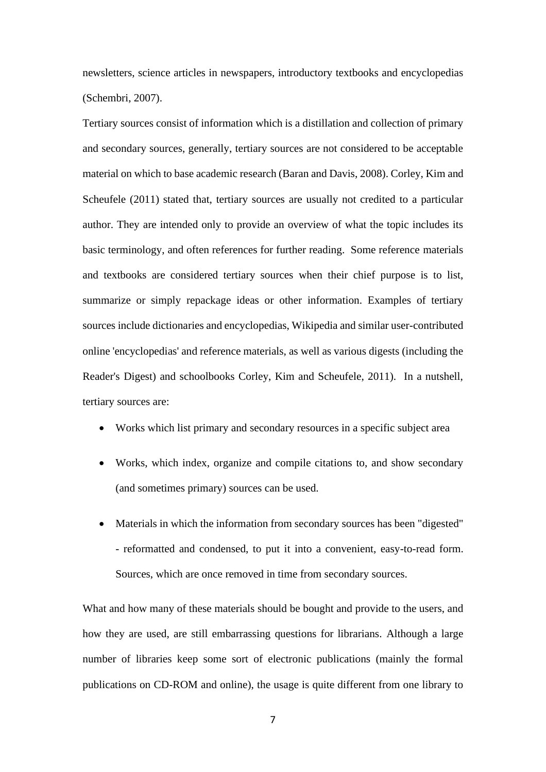newsletters, science articles in newspapers, introductory textbooks and encyclopedias (Schembri, 2007).

Tertiary sources consist of information which is a distillation and collection of primary and secondary sources, generally, tertiary sources are not considered to be acceptable material on which to base academic research (Baran and Davis, 2008). Corley, Kim and Scheufele (2011) stated that, tertiary sources are usually not credited to a particular author. They are intended only to provide an overview of what the topic includes its basic terminology, and often references for further reading. Some reference materials and textbooks are considered tertiary sources when their chief purpose is to list, summarize or simply repackage ideas or other information. Examples of tertiary sources include dictionaries and encyclopedias, Wikipedia and similar user-contributed online 'encyclopedias' and reference materials, as well as various digests (including the Reader's Digest) and schoolbooks Corley, Kim and Scheufele, 2011). In a nutshell, tertiary sources are:

- Works which list primary and secondary resources in a specific subject area
- Works, which index, organize and compile citations to, and show secondary (and sometimes primary) sources can be used.
- Materials in which the information from secondary sources has been "digested" - reformatted and condensed, to put it into a convenient, easy-to-read form. Sources, which are once removed in time from secondary sources.

What and how many of these materials should be bought and provide to the users, and how they are used, are still embarrassing questions for librarians. Although a large number of libraries keep some sort of electronic publications (mainly the formal publications on CD-ROM and online), the usage is quite different from one library to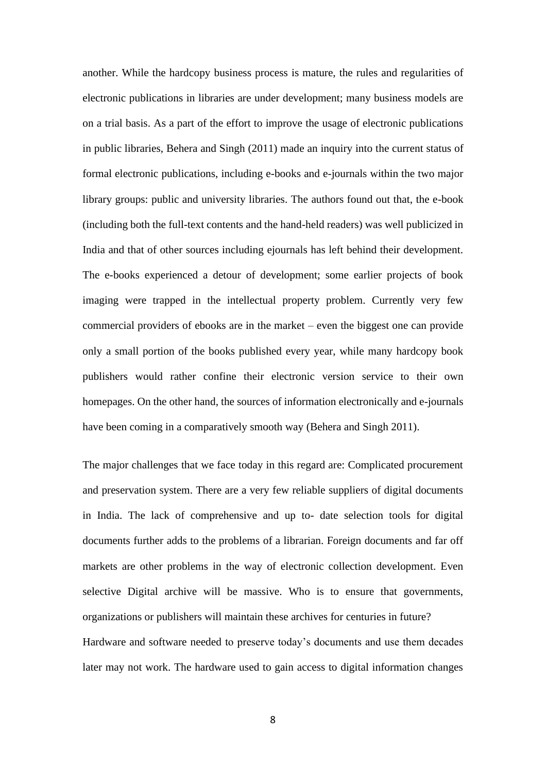another. While the hardcopy business process is mature, the rules and regularities of electronic publications in libraries are under development; many business models are on a trial basis. As a part of the effort to improve the usage of electronic publications in public libraries, Behera and Singh (2011) made an inquiry into the current status of formal electronic publications, including e-books and e-journals within the two major library groups: public and university libraries. The authors found out that, the e-book (including both the full-text contents and the hand-held readers) was well publicized in India and that of other sources including ejournals has left behind their development. The e-books experienced a detour of development; some earlier projects of book imaging were trapped in the intellectual property problem. Currently very few commercial providers of ebooks are in the market – even the biggest one can provide only a small portion of the books published every year, while many hardcopy book publishers would rather confine their electronic version service to their own homepages. On the other hand, the sources of information electronically and e-journals have been coming in a comparatively smooth way (Behera and Singh 2011).

The major challenges that we face today in this regard are: Complicated procurement and preservation system. There are a very few reliable suppliers of digital documents in India. The lack of comprehensive and up to- date selection tools for digital documents further adds to the problems of a librarian. Foreign documents and far off markets are other problems in the way of electronic collection development. Even selective Digital archive will be massive. Who is to ensure that governments, organizations or publishers will maintain these archives for centuries in future? Hardware and software needed to preserve today's documents and use them decades later may not work. The hardware used to gain access to digital information changes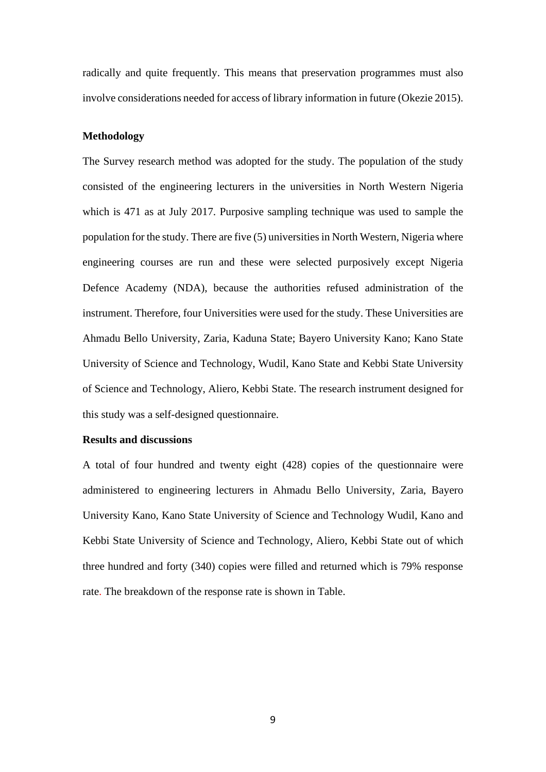radically and quite frequently. This means that preservation programmes must also involve considerations needed for access of library information in future (Okezie 2015).

#### **Methodology**

The Survey research method was adopted for the study. The population of the study consisted of the engineering lecturers in the universities in North Western Nigeria which is 471 as at July 2017. Purposive sampling technique was used to sample the population for the study. There are five (5) universities in North Western, Nigeria where engineering courses are run and these were selected purposively except Nigeria Defence Academy (NDA), because the authorities refused administration of the instrument. Therefore, four Universities were used for the study. These Universities are Ahmadu Bello University, Zaria, Kaduna State; Bayero University Kano; Kano State University of Science and Technology, Wudil, Kano State and Kebbi State University of Science and Technology, Aliero, Kebbi State. The research instrument designed for this study was a self-designed questionnaire.

#### **Results and discussions**

A total of four hundred and twenty eight (428) copies of the questionnaire were administered to engineering lecturers in Ahmadu Bello University, Zaria, Bayero University Kano, Kano State University of Science and Technology Wudil, Kano and Kebbi State University of Science and Technology, Aliero, Kebbi State out of which three hundred and forty (340) copies were filled and returned which is 79% response rate. The breakdown of the response rate is shown in Table.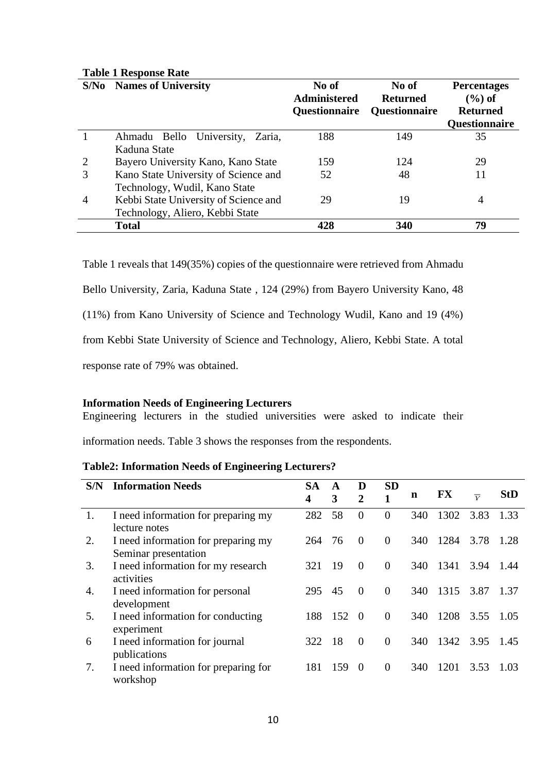| S/No           | <b>Names of University</b>                                                                                | No of<br><b>Administered</b> | No of<br><b>Returned</b> | <b>Percentages</b><br>$(\%)$ of  |  |  |
|----------------|-----------------------------------------------------------------------------------------------------------|------------------------------|--------------------------|----------------------------------|--|--|
|                |                                                                                                           | <b>Questionnaire</b>         | <b>Questionnaire</b>     | <b>Returned</b><br>Questionnaire |  |  |
|                | Ahmadu Bello University,<br>Zaria,<br>Kaduna State                                                        | 188                          | 149                      | 35                               |  |  |
| 2              | Bayero University Kano, Kano State                                                                        | 159                          | 124                      | 29                               |  |  |
| 3              | Kano State University of Science and                                                                      | 52                           | 48                       | 11                               |  |  |
| $\overline{4}$ | Technology, Wudil, Kano State<br>Kebbi State University of Science and<br>Technology, Aliero, Kebbi State | 29                           | 19                       | $\overline{4}$                   |  |  |
|                | <b>Total</b>                                                                                              | 428                          | 340                      | 79                               |  |  |

# **Table 1 Response Rate**

Table 1 reveals that 149(35%) copies of the questionnaire were retrieved from Ahmadu Bello University, Zaria, Kaduna State , 124 (29%) from Bayero University Kano, 48 (11%) from Kano University of Science and Technology Wudil, Kano and 19 (4%) from Kebbi State University of Science and Technology, Aliero, Kebbi State. A total response rate of 79% was obtained.

# **Information Needs of Engineering Lecturers**

Engineering lecturers in the studied universities were asked to indicate their

information needs. Table 3 shows the responses from the respondents.

# **Table2: Information Needs of Engineering Lecturers?**

| S/N | <b>Information Needs</b>                                    | <b>SA</b><br>4 | A<br>3 | D<br>2   | <b>SD</b> | n   | <b>FX</b> | $\overline{V}$ | <b>StD</b> |
|-----|-------------------------------------------------------------|----------------|--------|----------|-----------|-----|-----------|----------------|------------|
| 1.  | I need information for preparing my<br>lecture notes        | 282            | 58     | $\Omega$ | $\Omega$  | 340 | 1302      | 3.83           | 1.33       |
| 2.  | I need information for preparing my<br>Seminar presentation | 264            | 76     | $\theta$ | $\theta$  | 340 | 1284      | 3.78           | 1.28       |
| 3.  | I need information for my research<br>activities            | 321            | 19     | $\Omega$ | $\theta$  | 340 | 1341      | 3.94           | -1.44      |
| 4.  | I need information for personal<br>development              | 295            | 45     | $\theta$ | $\Omega$  | 340 | 1315      | 3.87           | 1.37       |
| 5.  | I need information for conducting<br>experiment             | 188            | 152    | $\Omega$ | $\theta$  | 340 | 1208      | 3.55           | - 1.05     |
| 6   | I need information for journal<br>publications              | 322            | 18     | $\Omega$ | $\theta$  | 340 | 1342      | 3.95           | 1.45       |
| 7.  | I need information for preparing for<br>workshop            | 181            | 159    | $\Omega$ | $\Omega$  | 340 | 1201      | 3.53           | 1.03       |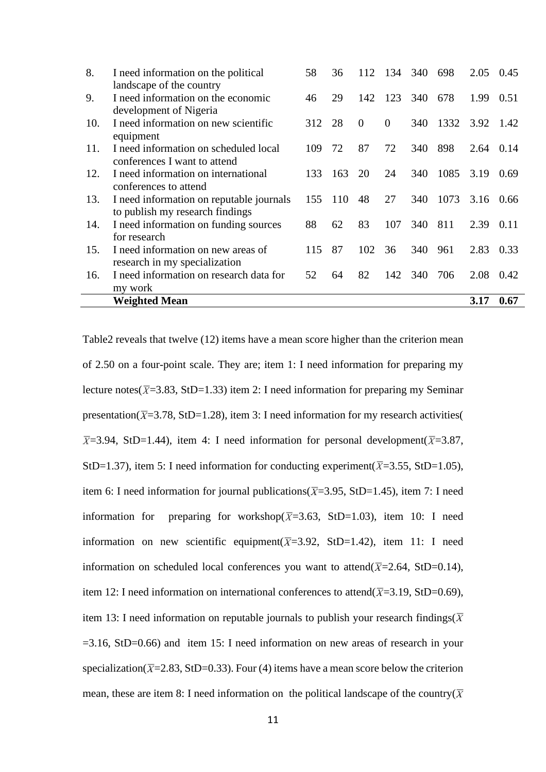|     | <b>Weighted Mean</b>                                              |     |     |          |          |     |      | 3.17 | 0.67      |
|-----|-------------------------------------------------------------------|-----|-----|----------|----------|-----|------|------|-----------|
|     | my work                                                           |     |     |          |          |     |      |      |           |
| 16. | I need information on research data for                           | 52  | 64  | 82       | 142      | 340 | 706  | 2.08 | 0.42      |
|     | research in my specialization                                     |     |     |          |          |     |      |      |           |
| 15. | I need information on new areas of                                | 115 | 87  | 102      | 36       | 340 | 961  | 2.83 | 0.33      |
|     | for research                                                      |     |     |          |          |     |      |      |           |
| 14. | I need information on funding sources                             | 88  | 62  | 83       | 107      | 340 | 811  | 2.39 | 0.11      |
|     | to publish my research findings                                   |     |     |          |          |     |      |      |           |
| 13. | conferences to attend<br>I need information on reputable journals | 155 | 110 | 48       | 27       | 340 | 1073 |      | 3.16 0.66 |
| 12. | I need information on international                               | 133 | 163 | 20       | 24       | 340 | 1085 | 3.19 | 0.69      |
|     | conferences I want to attend                                      |     |     |          |          |     |      |      |           |
| 11. | I need information on scheduled local                             | 109 | 72  | 87       | 72       | 340 | 898  | 2.64 | 0.14      |
|     | equipment                                                         |     |     |          |          |     |      |      |           |
| 10. | development of Nigeria<br>I need information on new scientific    | 312 | 28  | $\theta$ | $\theta$ | 340 | 1332 | 3.92 | 1.42      |
| 9.  | I need information on the economic                                | 46  | 29  | 142      | 123      | 340 | 678  | 1.99 | 0.51      |
|     | landscape of the country                                          |     |     |          |          |     |      |      |           |
| 8.  | I need information on the political                               | 58  | 36  | 112      | 134      | 340 | 698  | 2.05 | 0.45      |
|     |                                                                   |     |     |          |          |     |      |      |           |

Table2 reveals that twelve (12) items have a mean score higher than the criterion mean of 2.50 on a four-point scale. They are; item 1: I need information for preparing my lecture notes( $\overline{X}$ =3.83, StD=1.33) item 2: I need information for preparing my Seminar presentation( $\overline{X}$ =3.78, StD=1.28), item 3: I need information for my research activities(  $\overline{X}$ =3.94, StD=1.44), item 4: I need information for personal development( $\overline{X}$ =3.87, StD=1.37), item 5: I need information for conducting experiment( $\overline{X}$ =3.55, StD=1.05), item 6: I need information for journal publications( $\overline{X}$ =3.95, StD=1.45), item 7: I need information for preparing for workshop( $\overline{X}$ =3.63, StD=1.03), item 10: I need information on new scientific equipment( $\overline{X}$ =3.92, StD=1.42), item 11: I need information on scheduled local conferences you want to attend( $\overline{X}$ =2.64, StD=0.14), item 12: I need information on international conferences to attend( $\bar{X}$ =3.19, StD=0.69), item 13: I need information on reputable journals to publish your research findings( $\overline{X}$ =3.16, StD=0.66) and item 15: I need information on new areas of research in your specialization( $\overline{X}$ =2.83, StD=0.33). Four (4) items have a mean score below the criterion mean, these are item 8: I need information on the political landscape of the country( $\overline{X}$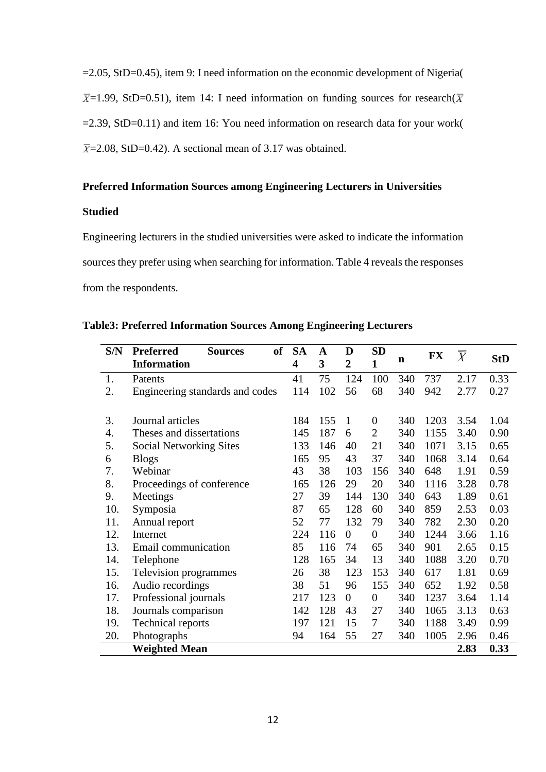=2.05, StD=0.45), item 9: I need information on the economic development of Nigeria(  $\overline{X}$ =1.99, StD=0.51), item 14: I need information on funding sources for research( $\overline{X}$  $=2.39$ , StD $=0.11$ ) and item 16: You need information on research data for your work(  $\overline{X}$ =2.08, StD=0.42). A sectional mean of 3.17 was obtained.

# **Preferred Information Sources among Engineering Lecturers in Universities**

# **Studied**

Engineering lecturers in the studied universities were asked to indicate the information sources they prefer using when searching for information. Table 4 reveals the responses from the respondents.

| <b>Table3: Preferred Information Sources Among Engineering Lecturers</b> |  |  |  |
|--------------------------------------------------------------------------|--|--|--|
|--------------------------------------------------------------------------|--|--|--|

| S/N | <b>of</b><br><b>Preferred</b><br><b>Sources</b> | <b>SA</b> | A   | D              | <b>SD</b>        |     | <b>FX</b> | $\overline{X}$ |            |
|-----|-------------------------------------------------|-----------|-----|----------------|------------------|-----|-----------|----------------|------------|
|     | <b>Information</b>                              | 4         | 3   | $\overline{2}$ | 1                | n   |           |                | <b>StD</b> |
| 1.  | Patents                                         | 41        | 75  | 124            | 100              | 340 | 737       | 2.17           | 0.33       |
| 2.  | Engineering standards and codes                 | 114       | 102 | 56             | 68               | 340 | 942       | 2.77           | 0.27       |
|     |                                                 |           |     |                |                  |     |           |                |            |
| 3.  | Journal articles                                | 184       | 155 | 1              | $\theta$         | 340 | 1203      | 3.54           | 1.04       |
| 4.  | Theses and dissertations                        | 145       | 187 | 6              | $\overline{2}$   | 340 | 1155      | 3.40           | 0.90       |
| 5.  | <b>Social Networking Sites</b>                  | 133       | 146 | 40             | 21               | 340 | 1071      | 3.15           | 0.65       |
| 6   | <b>Blogs</b>                                    | 165       | 95  | 43             | 37               | 340 | 1068      | 3.14           | 0.64       |
| 7.  | Webinar                                         | 43        | 38  | 103            | 156              | 340 | 648       | 1.91           | 0.59       |
| 8.  | Proceedings of conference                       | 165       | 126 | 29             | 20               | 340 | 1116      | 3.28           | 0.78       |
| 9.  | Meetings                                        | 27        | 39  | 144            | 130              | 340 | 643       | 1.89           | 0.61       |
| 10. | Symposia                                        | 87        | 65  | 128            | 60               | 340 | 859       | 2.53           | 0.03       |
| 11. | Annual report                                   | 52        | 77  | 132            | 79               | 340 | 782       | 2.30           | 0.20       |
| 12. | Internet                                        | 224       | 116 | $\theta$       | $\boldsymbol{0}$ | 340 | 1244      | 3.66           | 1.16       |
| 13. | Email communication                             | 85        | 116 | 74             | 65               | 340 | 901       | 2.65           | 0.15       |
| 14. | Telephone                                       | 128       | 165 | 34             | 13               | 340 | 1088      | 3.20           | 0.70       |
| 15. | Television programmes                           | 26        | 38  | 123            | 153              | 340 | 617       | 1.81           | 0.69       |
| 16. | Audio recordings                                | 38        | 51  | 96             | 155              | 340 | 652       | 1.92           | 0.58       |
| 17. | Professional journals                           | 217       | 123 | $\overline{0}$ | $\overline{0}$   | 340 | 1237      | 3.64           | 1.14       |
| 18. | Journals comparison                             | 142       | 128 | 43             | 27               | 340 | 1065      | 3.13           | 0.63       |
| 19. | <b>Technical reports</b>                        | 197       | 121 | 15             | 7                | 340 | 1188      | 3.49           | 0.99       |
| 20. | Photographs                                     | 94        | 164 | 55             | 27               | 340 | 1005      | 2.96           | 0.46       |
|     | <b>Weighted Mean</b>                            |           |     |                |                  |     |           | 2.83           | 0.33       |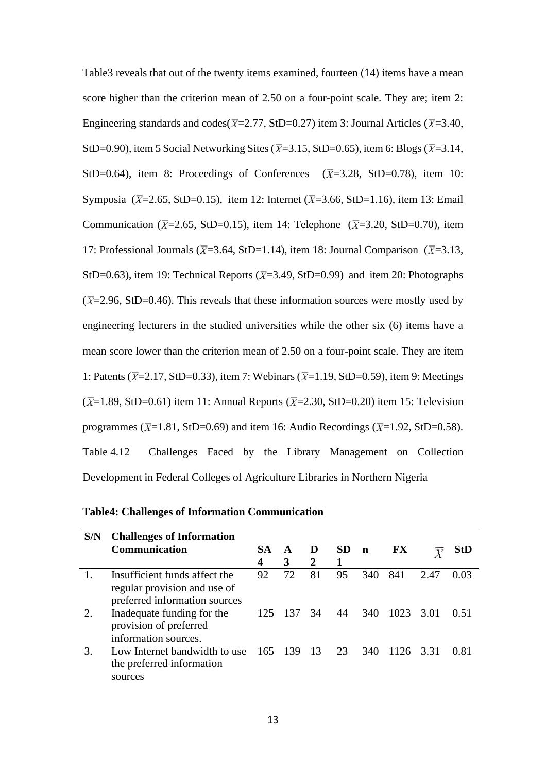| Table3 reveals that out of the twenty items examined, fourteen (14) items have a mean                              |
|--------------------------------------------------------------------------------------------------------------------|
| score higher than the criterion mean of 2.50 on a four-point scale. They are; item 2:                              |
| Engineering standards and codes( $\overline{X}$ =2.77, StD=0.27) item 3: Journal Articles ( $\overline{X}$ =3.40,  |
| StD=0.90), item 5 Social Networking Sites ( $\overline{X}$ =3.15, StD=0.65), item 6: Blogs ( $\overline{X}$ =3.14, |
| StD=0.64), item 8: Proceedings of Conferences $(\overline{X}=3.28, StD=0.78)$ , item 10:                           |
| Symposia ( $\bar{X}$ =2.65, StD=0.15), item 12: Internet ( $\bar{X}$ =3.66, StD=1.16), item 13: Email              |
| Communication ( $\bar{X}$ =2.65, StD=0.15), item 14: Telephone ( $\bar{X}$ =3.20, StD=0.70), item                  |
| 17: Professional Journals ( $\overline{X}$ =3.64, StD=1.14), item 18: Journal Comparison ( $\overline{X}$ =3.13,   |
| StD=0.63), item 19: Technical Reports ( $\overline{X}$ =3.49, StD=0.99) and item 20: Photographs                   |
| $(\overline{X}=2.96, \text{StD}=0.46)$ . This reveals that these information sources were mostly used by           |
| engineering lecturers in the studied universities while the other six (6) items have a                             |
| mean score lower than the criterion mean of 2.50 on a four-point scale. They are item                              |
| 1: Patents ( $\overline{X}$ =2.17, StD=0.33), item 7: Webinars ( $\overline{X}$ =1.19, StD=0.59), item 9: Meetings |
| $(\overline{X}=1.89,$ StD=0.61) item 11: Annual Reports ( $\overline{X}=2.30$ , StD=0.20) item 15: Television      |
| programmes ( $\overline{X}$ =1.81, StD=0.69) and item 16: Audio Recordings ( $\overline{X}$ =1.92, StD=0.58).      |
| Challenges Faced by the Library Management on Collection<br>Table 4.12                                             |
| Development in Federal Colleges of Agriculture Libraries in Northern Nigeria                                       |

|  |  |  | <b>Table4: Challenges of Information Communication</b> |
|--|--|--|--------------------------------------------------------|
|--|--|--|--------------------------------------------------------|

| S/N | <b>Challenges of Information</b>                                                               |           |         |                 |           |             |      |                  |        |
|-----|------------------------------------------------------------------------------------------------|-----------|---------|-----------------|-----------|-------------|------|------------------|--------|
|     | <b>Communication</b>                                                                           | <b>SA</b> | A       | D               | <b>SD</b> | $\mathbf n$ | FX   | $\boldsymbol{V}$ | StD    |
|     |                                                                                                | 4         | 3       | $\mathcal{D}$   | 1         |             |      |                  |        |
|     | Insufficient funds affect the<br>regular provision and use of<br>preferred information sources | 92        | 72      | 81              | 95        | 340         | 841  | 2.47             | 0.03   |
| 2.  | Inadequate funding for the<br>provision of preferred<br>information sources.                   |           | 125 137 | 34              | 44        | 340         | 1023 | 3.01             | (0.51) |
| 3.  | Low Internet bandwidth to use 165 139<br>the preferred information<br>sources                  |           |         | $\overline{13}$ | 23        | 340         | 1126 | 3.31             | 0.81   |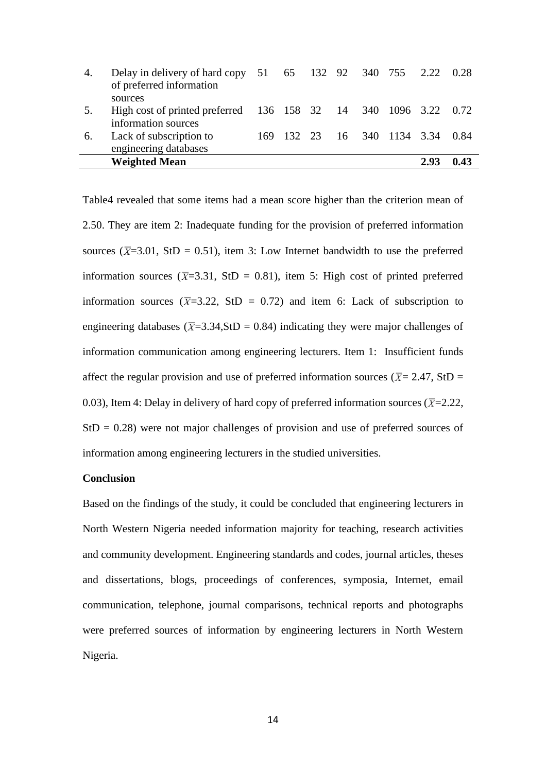| 4. | Delay in delivery of hard copy 51 65 132 92 340 755 2.22<br>of preferred information |  |  |                                  |      | 0.28 |
|----|--------------------------------------------------------------------------------------|--|--|----------------------------------|------|------|
|    | sources                                                                              |  |  |                                  |      |      |
| 5. | High cost of printed preferred 136 158 32 14 340 1096 3.22 0.72                      |  |  |                                  |      |      |
|    | information sources                                                                  |  |  |                                  |      |      |
| 6. | Lack of subscription to                                                              |  |  | 169 132 23 16 340 1134 3.34 0.84 |      |      |
|    | engineering databases                                                                |  |  |                                  |      |      |
|    | <b>Weighted Mean</b>                                                                 |  |  |                                  | 2.93 | 0.43 |

Table4 revealed that some items had a mean score higher than the criterion mean of 2.50. They are item 2: Inadequate funding for the provision of preferred information sources ( $\overline{X}$ =3.01, StD = 0.51), item 3: Low Internet bandwidth to use the preferred information sources ( $\overline{X}$ =3.31, StD = 0.81), item 5: High cost of printed preferred information sources ( $\overline{X}$ =3.22, StD = 0.72) and item 6: Lack of subscription to engineering databases ( $\overline{X}$ =3.34,StD = 0.84) indicating they were major challenges of information communication among engineering lecturers. Item 1: Insufficient funds affect the regular provision and use of preferred information sources ( $\overline{X}$  = 2.47, StD = 0.03), Item 4: Delay in delivery of hard copy of preferred information sources ( $\overline{X}$ =2.22,  $StD = 0.28$ ) were not major challenges of provision and use of preferred sources of information among engineering lecturers in the studied universities.

# **Conclusion**

Based on the findings of the study, it could be concluded that engineering lecturers in North Western Nigeria needed information majority for teaching, research activities and community development. Engineering standards and codes, journal articles, theses and dissertations, blogs, proceedings of conferences, symposia, Internet, email communication, telephone, journal comparisons, technical reports and photographs were preferred sources of information by engineering lecturers in North Western Nigeria.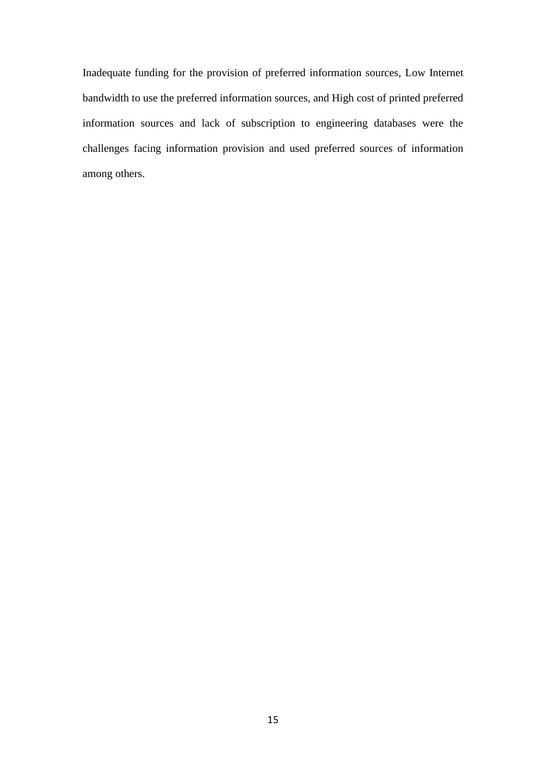Inadequate funding for the provision of preferred information sources, Low Internet bandwidth to use the preferred information sources, and High cost of printed preferred information sources and lack of subscription to engineering databases were the challenges facing information provision and used preferred sources of information among others.